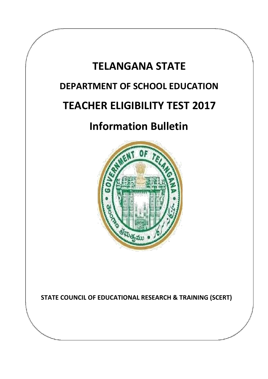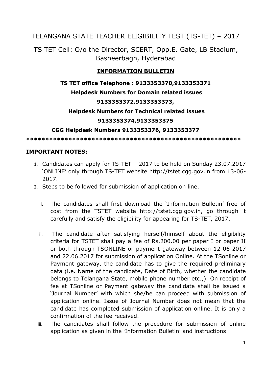# TELANGANA STATE TEACHER ELIGIBILITY TEST (TS-TET) – 2017

TS TET Cell: O/o the Director, SCERT, Opp.E. Gate, LB Stadium, Basheerbagh, Hyderabad

## **INFORMATION BULLETIN**

# **TS TET office Telephone : 9133353370,9133353371**

#### **Helpdesk Numbers for Domain related issues**

### **9133353372,9133353373,**

### **Helpdesk Numbers for Technical related issues**

### **9133353374,9133353375**

#### **CGG Helpdesk Numbers 9133353376, 9133353377**

**\*\*\*\*\*\*\*\*\*\*\*\*\*\*\*\*\*\*\*\*\*\*\*\*\*\*\*\*\*\*\*\*\*\*\*\*\*\*\*\*\*\*\*\*\*\*\*\*\*\*\*\*\*\*\*\***

### **IMPORTANT NOTES:**

- 1. Candidates can apply for TS-TET 2017 to be held on Sunday 23.07.2017 'ONLINE' only through TS-TET website http://tstet.cgg.gov.in from 13-06- 2017.
- 2. Steps to be followed for submission of application on line.
	- i. The candidates shall first download the 'Information Bulletin' free of cost from the TSTET website http://tstet.cgg.gov.in, go through it carefully and satisfy the eligibility for appearing for TS-TET, 2017.
	- ii. The candidate after satisfying herself/himself about the eligibility criteria for TSTET shall pay a fee of Rs.200.00 per paper I or paper II or both through TSONLINE or payment gateway between 12-06-2017 and 22.06.2017 for submission of application Online. At the TSonline or Payment gateway, the candidate has to give the required preliminary data (i.e. Name of the candidate, Date of Birth, whether the candidate belongs to Telangana State, mobile phone number etc.,). On receipt of fee at TSonline or Payment gateway the candidate shall be issued a 'Journal Number' with which she/he can proceed with submission of application online. Issue of Journal Number does not mean that the candidate has completed submission of application online. It is only a confirmation of the fee received.
	- iii. The candidates shall follow the procedure for submission of online application as given in the 'Information Bulletin' and instructions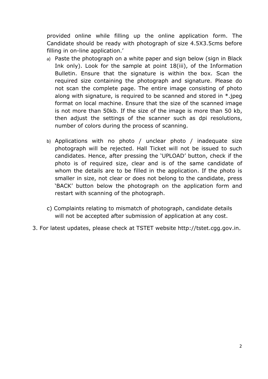provided online while filling up the online application form. The Candidate should be ready with photograph of size 4.5X3.5cms before filling in on-line application.'

- a) Paste the photograph on a white paper and sign below (sign in Black Ink only). Look for the sample at point 18(iii), of the Information Bulletin. Ensure that the signature is within the box. Scan the required size containing the photograph and signature. Please do not scan the complete page. The entire image consisting of photo along with signature, is required to be scanned and stored in \*.jpeg format on local machine. Ensure that the size of the scanned image is not more than 50kb. If the size of the image is more than 50 kb, then adjust the settings of the scanner such as dpi resolutions, number of colors during the process of scanning.
- b) Applications with no photo / unclear photo / inadequate size photograph will be rejected. Hall Ticket will not be issued to such candidates. Hence, after pressing the 'UPLOAD' button, check if the photo is of required size, clear and is of the same candidate of whom the details are to be filled in the application. If the photo is smaller in size, not clear or does not belong to the candidate, press 'BACK' button below the photograph on the application form and restart with scanning of the photograph.
- c) Complaints relating to mismatch of photograph, candidate details will not be accepted after submission of application at any cost.
- 3. For latest updates, please check at TSTET website http://tstet.cgg.gov.in.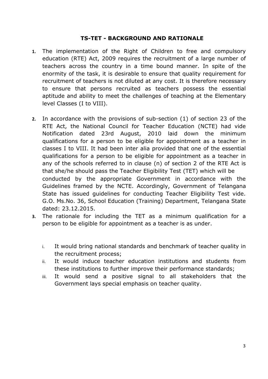#### **TS-TET - BACKGROUND AND RATIONALE**

- **1.** The implementation of the Right of Children to free and compulsory education (RTE) Act, 2009 requires the recruitment of a large number of teachers across the country in a time bound manner. In spite of the enormity of the task, it is desirable to ensure that quality requirement for recruitment of teachers is not diluted at any cost. It is therefore necessary to ensure that persons recruited as teachers possess the essential aptitude and ability to meet the challenges of teaching at the Elementary level Classes (I to VIII).
- **2.** In accordance with the provisions of sub-section (1) of section 23 of the RTE Act, the National Council for Teacher Education (NCTE) had vide Notification dated 23rd August, 2010 laid down the minimum qualifications for a person to be eligible for appointment as a teacher in classes I to VIII. It had been inter alia provided that one of the essential qualifications for a person to be eligible for appointment as a teacher in any of the schools referred to in clause (n) of section 2 of the RTE Act is that she/he should pass the Teacher Eligibility Test (TET) which will be conducted by the appropriate Government in accordance with the Guidelines framed by the NCTE. Accordingly, Government of Telangana State has issued guidelines for conducting Teacher Eligibility Test vide. G.O. Ms.No. 36, School Education (Training) Department, Telangana State dated: 23.12.2015.
- **3.** The rationale for including the TET as a minimum qualification for a person to be eligible for appointment as a teacher is as under.
	- i. It would bring national standards and benchmark of teacher quality in the recruitment process;
	- ii. It would induce teacher education institutions and students from these institutions to further improve their performance standards;
	- iii. It would send a positive signal to all stakeholders that the Government lays special emphasis on teacher quality.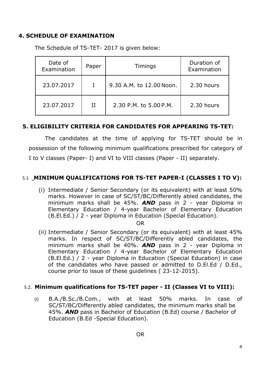### **4. SCHEDULE OF EXAMINATION**

The Schedule of TS-TET- 2017 is given below:

| Date of<br>Examination | Paper | Timings                  | Duration of<br>Examination |
|------------------------|-------|--------------------------|----------------------------|
| 23,07,2017             |       | 9.30 A.M. to 12.00 Noon. | 2.30 hours                 |
| 23.07.2017             | ΤT    | 2.30 P.M. to 5.00 P.M.   | 2.30 hours                 |

## **5. ELIGIBILITY CRITERIA FOR CANDIDATES FOR APPEARING TS-TET:**

The candidates at the time of applying for TS-TET should be in possession of the following minimum qualifications prescribed for category of I to V classes (Paper- I) and VI to VIII classes (Paper - II) separately.

## 5.1 **MINIMUM QUALIFICATIONS FOR TS-TET PAPER-I (CLASSES I TO V):**

(i) Intermediate / Senior Secondary (or its equivalent) with at least 50% marks. However in case of SC/ST/BC/Differently abled candidates, the minimum marks shall be 45%. *AND* pass in 2 - year Diploma in Elementary Education / 4-year Bachelor of Elementary Education (B.El.Ed.) / 2 - year Diploma in Education (Special Education).

OR

(ii) Intermediate / Senior Secondary (or its equivalent) with at least 45% marks. In respect of SC/ST/BC/Differently abled candidates, the minimum marks shall be 40%. *AND* pass in 2 - year Diploma in Elementary Education / 4-year Bachelor of Elementary Education (B.El.Ed.) / 2 - year Diploma in Education (Special Education) in case of the candidates who have passed or admitted to D.El.Ed / D.Ed., course prior to issue of these guidelines ( 23-12-2015).

#### 5.2. **Minimum qualifications for TS-TET paper - II (Classes VI to VIII):**

(i) B.A./B.Sc./B.Com., with at least 50% marks. In case of SC/ST/BC/Differently abled candidates, the minimum marks shall be 45%. *AND* pass in Bachelor of Education (B.Ed) course / Bachelor of Education (B.Ed -Special Education).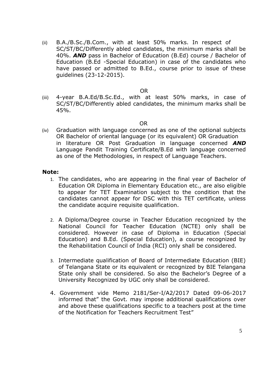(ii) B.A./B.Sc./B.Com., with at least 50% marks. In respect of SC/ST/BC/Differently abled candidates, the minimum marks shall be 40%. *AND* pass in Bachelor of Education (B.Ed) course / Bachelor of Education (B.Ed -Special Education) in case of the candidates who have passed or admitted to B.Ed., course prior to issue of these guidelines (23-12-2015).

#### OR

(iii) 4-year B.A.Ed/B.Sc.Ed., with at least 50% marks, in case of SC/ST/BC/Differently abled candidates, the minimum marks shall be 45%.

#### OR

(iv) Graduation with language concerned as one of the optional subjects OR Bachelor of oriental language (or its equivalent) OR Graduation in literature OR Post Graduation in language concerned *AND* Language Pandit Training Certificate/B.Ed with language concerned as one of the Methodologies, in respect of Language Teachers.

#### **Note:**

- 1. The candidates, who are appearing in the final year of Bachelor of Education OR Diploma in Elementary Education etc., are also eligible to appear for TET Examination subject to the condition that the candidates cannot appear for DSC with this TET certificate, unless the candidate acquire requisite qualification.
- 2. A Diploma/Degree course in Teacher Education recognized by the National Council for Teacher Education (NCTE) only shall be considered. However in case of Diploma in Education (Special Education) and B.Ed. (Special Education), a course recognized by the Rehabilitation Council of India (RCI) only shall be considered.
- 3. Intermediate qualification of Board of Intermediate Education (BIE) of Telangana State or its equivalent or recognized by BIE Telangana State only shall be considered. So also the Bachelor's Degree of a University Recognized by UGC only shall be considered.
- 4. Government vide Memo 2181/Ser-I/A2/2017 Dated 09-06-2017 informed that" the Govt. may impose additional qualifications over and above these qualifications specific to a teachers post at the time of the Notification for Teachers Recruitment Test"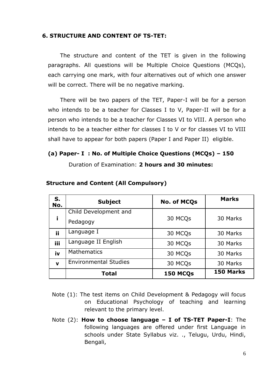### **6. STRUCTURE AND CONTENT OF TS-TET:**

The structure and content of the TET is given in the following paragraphs. All questions will be Multiple Choice Questions (MCQs), each carrying one mark, with four alternatives out of which one answer will be correct. There will be no negative marking.

There will be two papers of the TET, Paper-I will be for a person who intends to be a teacher for Classes I to V, Paper-II will be for a person who intends to be a teacher for Classes VI to VIII. A person who intends to be a teacher either for classes I to V or for classes VI to VIII shall have to appear for both papers (Paper I and Paper II) eligible.

# **(a) Paper- I : No. of Multiple Choice Questions (MCQs) – 150**

Duration of Examination: **2 hours and 30 minutes:**

| S.<br>No.    | <b>Subject</b>               | <b>No. of MCQs</b> | <b>Marks</b> |  |
|--------------|------------------------------|--------------------|--------------|--|
|              | Child Development and        |                    |              |  |
| i            | Pedagogy                     | 30 MCQs            | 30 Marks     |  |
| ij           | Language I                   | 30 MCQs            | 30 Marks     |  |
| iii          | Language II English          | 30 MCQs            | 30 Marks     |  |
| iv           | <b>Mathematics</b>           | 30 MCQs            | 30 Marks     |  |
| $\mathbf{v}$ | <b>Environmental Studies</b> | 30 MCQs            | 30 Marks     |  |
|              | <b>Total</b>                 | 150 MCQs           | 150 Marks    |  |

#### **Structure and Content (All Compulsory)**

- Note (1): The test items on Child Development & Pedagogy will focus on Educational Psychology of teaching and learning relevant to the primary level.
- Note (2): **How to choose language – I of TS-TET Paper-I**: The following languages are offered under first Language in schools under State Syllabus viz. ., Telugu, Urdu, Hindi, Bengali,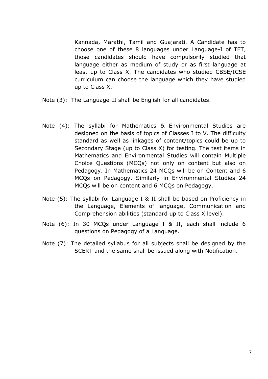Kannada, Marathi, Tamil and Guajarati. A Candidate has to choose one of these 8 languages under Language-I of TET, those candidates should have compulsorily studied that language either as medium of study or as first language at least up to Class X. The candidates who studied CBSE/ICSE curriculum can choose the language which they have studied up to Class X.

- Note (3): The Language-II shall be English for all candidates.
- Note (4): The syllabi for Mathematics & Environmental Studies are designed on the basis of topics of Classes I to V. The difficulty standard as well as linkages of content/topics could be up to Secondary Stage (up to Class X) for testing. The test items in Mathematics and Environmental Studies will contain Multiple Choice Questions (MCQs) not only on content but also on Pedagogy. In Mathematics 24 MCQs will be on Content and 6 MCQs on Pedagogy. Similarly in Environmental Studies 24 MCQs will be on content and 6 MCQs on Pedagogy.
- Note (5): The syllabi for Language I & II shall be based on Proficiency in the Language, Elements of language, Communication and Comprehension abilities (standard up to Class X level).
- Note (6): In 30 MCQs under Language I & II, each shall include 6 questions on Pedagogy of a Language.
- Note (7): The detailed syllabus for all subjects shall be designed by the SCERT and the same shall be issued along with Notification.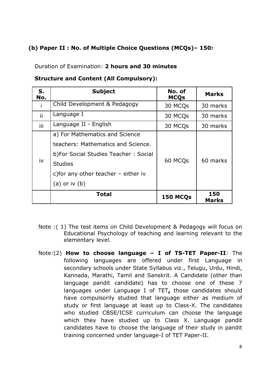# **(b) Paper II : No. of Multiple Choice Questions (MCQs)– 150:**

Duration of Examination: **2 hours and 30 minutes**

| <b>Structure and Content (All Compulsory):</b> |  |  |  |  |
|------------------------------------------------|--|--|--|--|
|------------------------------------------------|--|--|--|--|

| S.<br>No. | <b>Subject</b>                                                                                                                                                                                 | No. of<br><b>MCQs</b> | <b>Marks</b>        |
|-----------|------------------------------------------------------------------------------------------------------------------------------------------------------------------------------------------------|-----------------------|---------------------|
|           | Child Development & Pedagogy                                                                                                                                                                   | 30 MCQs               | 30 marks            |
| ii        | Language I                                                                                                                                                                                     | 30 MCQs               | 30 marks            |
| iii       | Language II - English                                                                                                                                                                          | 30 MCQs               | 30 marks            |
| iv        | a) For Mathematics and Science<br>teachers: Mathematics and Science.<br>b) For Social Studies Teacher: Social<br><b>Studies</b><br>c) for any other teacher $-$ either iv<br>$(a)$ or iv $(b)$ | 60 MCQ <sub>s</sub>   | 60 marks            |
|           | <b>Total</b>                                                                                                                                                                                   | 150 MCQs              | 150<br><b>Marks</b> |

- Note :( 1) The test items on Child Development & Pedagogy will focus on Educational Psychology of teaching and learning relevant to the elementary level.
- Note:(2) **How to choose language – I of TS-TET Paper-II**: The following languages are offered under first Language in secondary schools under State Syllabus viz., Telugu, Urdu, Hindi, Kannada, Marathi, Tamil and Sanskrit. A Candidate (other than language pandit candidate) has to choose one of these 7 languages under Language I of TET**,** those candidates should have compulsorily studied that language either as medium of study or first language at least up to Class-X. The candidates who studied CBSE/ICSE curriculum can choose the language which they have studied up to Class X. Language pandit candidates have to choose the language of their study in pandit training concerned under language-I of TET Paper-II.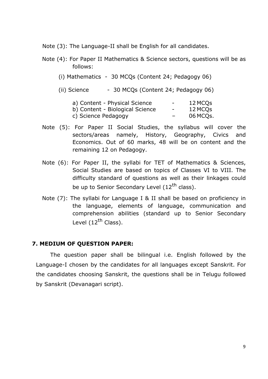Note (3): The Language-II shall be English for all candidates.

- Note (4): For Paper II Mathematics & Science sectors, questions will be as follows:
	- (i) Mathematics 30 MCQs (Content 24; Pedagogy 06)
	- (ii) Science  $-30$  MCQs (Content 24; Pedagogy 06)

| a) Content - Physical Science   | $\overline{\phantom{a}}$ | 12 MCQs  |
|---------------------------------|--------------------------|----------|
| b) Content - Biological Science | $\overline{\phantom{a}}$ | 12 MCQs  |
| c) Science Pedagogy             | $\overline{\phantom{0}}$ | 06 MCQs. |

- Note (5): For Paper II Social Studies, the syllabus will cover the sectors/areas namely, History, Geography, Civics and Economics. Out of 60 marks, 48 will be on content and the remaining 12 on Pedagogy.
- Note (6): For Paper II, the syllabi for TET of Mathematics & Sciences, Social Studies are based on topics of Classes VI to VIII. The difficulty standard of questions as well as their linkages could be up to Senior Secondary Level (12<sup>th</sup> class).
- Note (7): The syllabi for Language I & II shall be based on proficiency in the language, elements of language, communication and comprehension abilities (standard up to Senior Secondary Level (12<sup>th</sup> Class).

## **7. MEDIUM OF QUESTION PAPER:**

The question paper shall be bilingual i.e. English followed by the Language-I chosen by the candidates for all languages except Sanskrit. For the candidates choosing Sanskrit, the questions shall be in Telugu followed by Sanskrit (Devanagari script).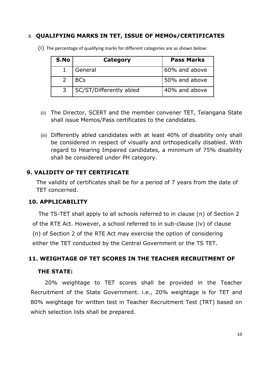### 8. **QUALIFYING MARKS IN TET, ISSUE OF MEMOs/CERTIFICATES**

| S.No | Category                | <b>Pass Marks</b> |
|------|-------------------------|-------------------|
|      | General                 | 60% and above     |
|      | <b>BCs</b>              | 50% and above     |
|      | SC/ST/Differently abled | 40% and above     |

(i) The percentage of qualifying marks for different categories are as shown below:

- (ii) The Director, SCERT and the member convener TET, Telangana State shall issue Memos/Pass certificates to the candidates.
- (iii) Differently abled candidates with at least 40% of disability only shall be considered in respect of visually and orthopedically disabled. With regard to Hearing Impaired candidates, a minimum of 75% disability shall be considered under PH category.

### **9. VALIDITY OF TET CERTIFICATE**

The validity of certificates shall be for a period of 7 years from the date of TET concerned.

#### **10. APPLICABILITY**

The TS-TET shall apply to all schools referred to in clause (n) of Section 2 of the RTE Act. However, a school referred to in sub-clause (iv) of clause (n) of Section 2 of the RTE Act may exercise the option of considering either the TET conducted by the Central Government or the TS TET.

#### **11. WEIGHTAGE OF TET SCORES IN THE TEACHER RECRUITMENT OF**

#### **THE STATE:**

20% weightage to TET scores shall be provided in the Teacher Recruitment of the State Government. i.e., 20% weightage is for TET and 80% weightage for written test in Teacher Recruitment Test (TRT) based on which selection lists shall be prepared.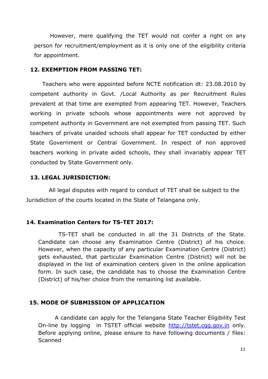However, mere qualifying the TET would not confer a right on any person for recruitment/employment as it is only one of the eligibility criteria for appointment.

#### **12. EXEMPTION FROM PASSING TET:**

Teachers who were appointed before NCTE notification dt: 23.08.2010 by competent authority in Govt. /Local Authority as per Recruitment Rules prevalent at that time are exempted from appearing TET. However, Teachers working in private schools whose appointments were not approved by competent authority in Government are not exempted from passing TET. Such teachers of private unaided schools shall appear for TET conducted by either State Government or Central Government. In respect of non approved teachers working in private aided schools, they shall invariably appear TET conducted by State Government only.

#### **13. LEGAL JURISDICTION:**

All legal disputes with regard to conduct of TET shall be subject to the Jurisdiction of the courts located in the State of Telangana only.

#### **14. Examination Centers for TS-TET 2017:**

TS-TET shall be conducted in all the 31 Districts of the State. Candidate can choose any Examination Centre (District) of his choice. However, when the capacity of any particular Examination Centre (District) gets exhausted, that particular Examination Centre (District) will not be displayed in the list of examination centers given in the online application form. In such case, the candidate has to choose the Examination Centre (District) of his/her choice from the remaining list available.

## **15. MODE OF SUBMISSION OF APPLICATION**

A candidate can apply for the Telangana State Teacher Eligibility Test On-line by logging in TSTET official website http://tstet.cgg.gov.in only. Before applying online, please ensure to have following documents / files: Scanned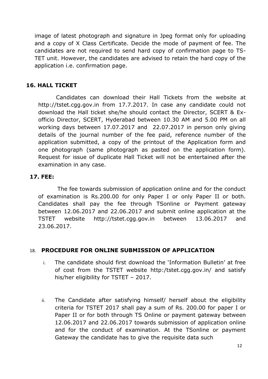image of latest photograph and signature in Jpeg format only for uploading and a copy of X Class Certificate. Decide the mode of payment of fee. The candidates are not required to send hard copy of confirmation page to TS-TET unit. However, the candidates are advised to retain the hard copy of the application i.e. confirmation page.

## **16. HALL TICKET**

Candidates can download their Hall Tickets from the website at http://tstet.cgg.gov.in from 17.7.2017. In case any candidate could not download the Hall ticket she/he should contact the Director, SCERT & Exofficio Director, SCERT, Hyderabad between 10.30 AM and 5.00 PM on all working days between 17.07.2017 and 22.07.2017 in person only giving details of the journal number of the fee paid, reference number of the application submitted, a copy of the printout of the Application form and one photograph (same photograph as pasted on the application form). Request for issue of duplicate Hall Ticket will not be entertained after the examination in any case.

## **17. FEE:**

The fee towards submission of application online and for the conduct of examination is Rs.200.00 for only Paper I or only Paper II or both. Candidates shall pay the fee through TSonline or Payment gateway between 12.06.2017 and 22.06.2017 and submit online application at the TSTET website http://tstet.cgg.gov.in between 13.06.2017 and 23.06.2017.

## 18. **PROCEDURE FOR ONLINE SUBMISSION OF APPLICATION**

- i. The candidate should first download the 'Information Bulletin' at free of cost from the TSTET website http:/tstet.cgg.gov.in/ and satisfy his/her eligibility for TSTET – 2017.
- ii. The Candidate after satisfying himself/ herself about the eligibility criteria for TSTET 2017 shall pay a sum of Rs. 200.00 for paper I or Paper II or for both through TS Online or payment gateway between 12.06.2017 and 22.06.2017 towards submission of application online and for the conduct of examination. At the TSonline or payment Gateway the candidate has to give the requisite data such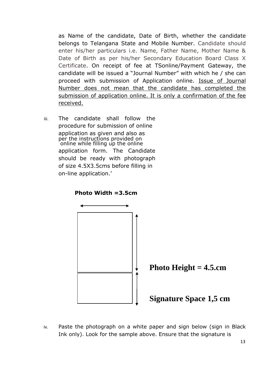as Name of the candidate, Date of Birth, whether the candidate belongs to Telangana State and Mobile Number. Candidate should enter his/her particulars i.e. Name, Father Name, Mother Name & Date of Birth as per his/her Secondary Education Board Class X Certificate. On receipt of fee at TSonline/Payment Gateway, the candidate will be issued a "Journal Number" with which he / she can proceed with submission of Application online. Issue of Journal Number does not mean that the candidate has completed the submission of application online. It is only a confirmation of the fee received.

iii. The candidate shall follow the procedure for submission of online application as given and also as per the instructions provided on online while filling up the online application form. The Candidate should be ready with photograph of size 4.5X3.5cms before filling in on-line application.'

**Photo Width =3.5cm**



**Photo Height = 4.5.cm**

# **Signature Space 1,5 cm**

iv. Paste the photograph on a white paper and sign below (sign in Black Ink only). Look for the sample above. Ensure that the signature is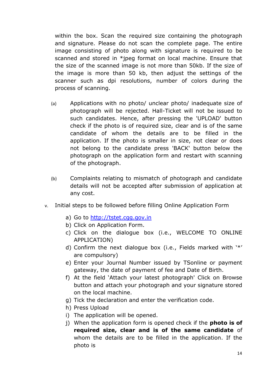within the box. Scan the required size containing the photograph and signature. Please do not scan the complete page. The entire image consisting of photo along with signature is required to be scanned and stored in \*jpeg format on local machine. Ensure that the size of the scanned image is not more than 50kb. If the size of the image is more than 50 kb, then adjust the settings of the scanner such as dpi resolutions, number of colors during the process of scanning.

- (a) Applications with no photo/ unclear photo/ inadequate size of photograph will be rejected. Hall-Ticket will not be issued to such candidates. Hence, after pressing the 'UPLOAD' button check if the photo is of required size, clear and is of the same candidate of whom the details are to be filled in the application. If the photo is smaller in size, not clear or does not belong to the candidate press 'BACK' button below the photograph on the application form and restart with scanning of the photograph.
- (b) Complaints relating to mismatch of photograph and candidate details will not be accepted after submission of application at any cost.
- v. Initial steps to be followed before filling Online Application Form
	- a) Go to http://tstet.cgg.gov.in
	- b) Click on Application Form.
	- c) Click on the dialogue box (i.e., WELCOME TO ONLINE APPLICATION)
	- d) Confirm the next dialogue box (i.e., Fields marked with '\*' are compulsory)
	- e) Enter your Journal Number issued by TSonline or payment gateway, the date of payment of fee and Date of Birth.
	- f) At the field 'Attach your latest photograph' Click on Browse button and attach your photograph and your signature stored on the local machine.
	- g) Tick the declaration and enter the verification code.
	- h) Press Upload
	- i) The application will be opened.
	- j) When the application form is opened check if the **photo is of required size, clear and is of the same candidate** of whom the details are to be filled in the application. If the photo is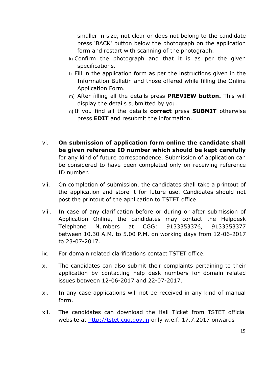smaller in size, not clear or does not belong to the candidate press 'BACK' button below the photograph on the application form and restart with scanning of the photograph.

- k) Confirm the photograph and that it is as per the given specifications.
- l) Fill in the application form as per the instructions given in the Information Bulletin and those offered while filling the Online Application Form.
- m) After filling all the details press **PREVIEW button.** This will display the details submitted by you.
- n) If you find all the details **correct** press **SUBMIT** otherwise press **EDIT** and resubmit the information.
- vi. **On submission of application form online the candidate shall be given reference ID number which should be kept carefully**  for any kind of future correspondence. Submission of application can be considered to have been completed only on receiving reference ID number.
- vii. On completion of submission, the candidates shall take a printout of the application and store it for future use. Candidates should not post the printout of the application to TSTET office.
- viii. In case of any clarification before or during or after submission of Application Online, the candidates may contact the Helpdesk Telephone Numbers at CGG: 9133353376, 9133353377 between 10.30 A.M. to 5.00 P.M. on working days from 12-06-2017 to 23-07-2017.
- ix. For domain related clarifications contact TSTET office.
- x. The candidates can also submit their complaints pertaining to their application by contacting help desk numbers for domain related issues between 12-06-2017 and 22-07-2017.
- xi. In any case applications will not be received in any kind of manual form.
- xii. The candidates can download the Hall Ticket from TSTET official website at http://tstet.cgg.gov.in only w.e.f. 17.7.2017 onwards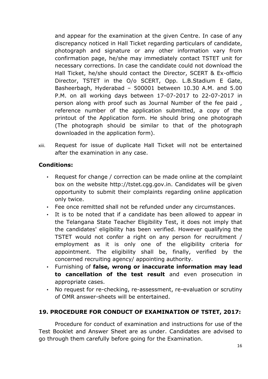and appear for the examination at the given Centre. In case of any discrepancy noticed in Hall Ticket regarding particulars of candidate, photograph and signature or any other information vary from confirmation page, he/she may immediately contact TSTET unit for necessary corrections. In case the candidate could not download the Hall Ticket, he/she should contact the Director, SCERT & Ex-officio Director, TSTET in the O/o SCERT, Opp. L.B.Stadium E Gate, Basheerbagh, Hyderabad – 500001 between 10.30 A.M. and 5.00 P.M. on all working days between 17-07-2017 to 22-07-2017 in person along with proof such as Journal Number of the fee paid , reference number of the application submitted, a copy of the printout of the Application form. He should bring one photograph (The photograph should be similar to that of the photograph downloaded in the application form).

xiii. Request for issue of duplicate Hall Ticket will not be entertained after the examination in any case.

# **Conditions:**

- Request for change / correction can be made online at the complaint box on the website http://tstet.cgg.gov.in. Candidates will be given opportunity to submit their complaints regarding online application only twice.
- Fee once remitted shall not be refunded under any circumstances.
- It is to be noted that if a candidate has been allowed to appear in the Telangana State Teacher Eligibility Test, it does not imply that the candidates' eligibility has been verified. However qualifying the TSTET would not confer a right on any person for recruitment / employment as it is only one of the eligibility criteria for appointment. The eligibility shall be, finally, verified by the concerned recruiting agency/ appointing authority.
- Furnishing of **false, wrong or inaccurate information may lead to cancellation of the test result** and even prosecution in appropriate cases.
- No request for re-checking, re-assessment, re-evaluation or scrutiny of OMR answer-sheets will be entertained.

# **19. PROCEDURE FOR CONDUCT OF EXAMINATION OF TSTET, 2017:**

Procedure for conduct of examination and instructions for use of the Test Booklet and Answer Sheet are as under. Candidates are advised to go through them carefully before going for the Examination.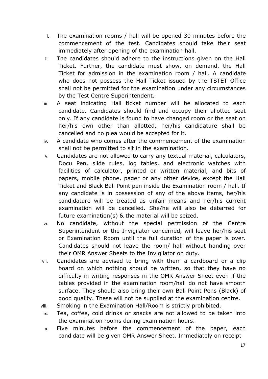- i. The examination rooms / hall will be opened 30 minutes before the commencement of the test. Candidates should take their seat immediately after opening of the examination hall.
- ii. The candidates should adhere to the instructions given on the Hall Ticket. Further, the candidate must show, on demand, the Hall Ticket for admission in the examination room / hall. A candidate who does not possess the Hall Ticket issued by the TSTET Office shall not be permitted for the examination under any circumstances by the Test Centre Superintendent.
- iii. A seat indicating Hall ticket number will be allocated to each candidate. Candidates should find and occupy their allotted seat only. If any candidate is found to have changed room or the seat on her/his own other than allotted, her/his candidature shall be cancelled and no plea would be accepted for it.
- iv. A candidate who comes after the commencement of the examination shall not be permitted to sit in the examination.
- v. Candidates are not allowed to carry any textual material, calculators, Docu Pen, slide rules, log tables, and electronic watches with facilities of calculator, printed or written material, and bits of papers, mobile phone, pager or any other device, except the Hall Ticket and Black Ball Point pen inside the Examination room / hall. If any candidate is in possession of any of the above items, her/his candidature will be treated as unfair means and her/his current examination will be cancelled. She/he will also be debarred for future examination(s) & the material will be seized.
- vi. No candidate, without the special permission of the Centre Superintendent or the Invigilator concerned, will leave her/his seat or Examination Room until the full duration of the paper is over. Candidates should not leave the room/ hall without handing over their OMR Answer Sheets to the Invigilator on duty.
- vii. Candidates are advised to bring with them a cardboard or a clip board on which nothing should be written, so that they have no difficulty in writing responses in the OMR Answer Sheet even if the tables provided in the examination room/hall do not have smooth surface. They should also bring their own Ball Point Pens (Black) of good quality. These will not be supplied at the examination centre.
- viii. Smoking in the Examination Hall/Room is strictly prohibited.
- ix. Tea, coffee, cold drinks or snacks are not allowed to be taken into the examination rooms during examination hours.
- x. Five minutes before the commencement of the paper, each candidate will be given OMR Answer Sheet. Immediately on receipt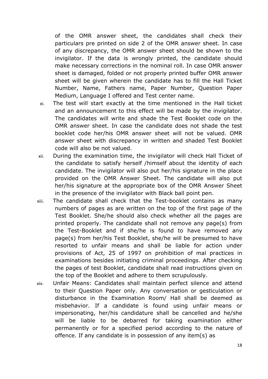of the OMR answer sheet, the candidates shall check their particulars pre printed on side 2 of the OMR answer sheet. In case of any discrepancy, the OMR answer sheet should be shown to the invigilator. If the data is wrongly printed, the candidate should make necessary corrections in the nominal roll. In case OMR answer sheet is damaged, folded or not properly printed buffer OMR answer sheet will be given wherein the candidate has to fill the Hall Ticket Number, Name, Fathers name, Paper Number, Question Paper Medium, Language I offered and Test center name.

- xi. The test will start exactly at the time mentioned in the Hall ticket and an announcement to this effect will be made by the invigilator. The candidates will write and shade the Test Booklet code on the OMR answer sheet. In case the candidate does not shade the test booklet code her/his OMR answer sheet will not be valued. OMR answer sheet with discrepancy in written and shaded Test Booklet code will also be not valued.
- xii. During the examination time, the invigilator will check Hall Ticket of the candidate to satisfy herself /himself about the identity of each candidate. The invigilator will also put her/his signature in the place provided on the OMR Answer Sheet. The candidate will also put her/his signature at the appropriate box of the OMR Answer Sheet in the presence of the invigilator with Black ball point pen.
- xiii. The candidate shall check that the Test-booklet contains as many numbers of pages as are written on the top of the first page of the Test Booklet. She/he should also check whether all the pages are printed properly. The candidate shall not remove any page(s) from the Test-Booklet and if she/he is found to have removed any page(s) from her/his Test Booklet, she/he will be presumed to have resorted to unfair means and shall be liable for action under provisions of Act, 25 of 1997 on prohibition of mal practices in examinations besides initiating criminal proceedings. After checking the pages of test Booklet, candidate shall read instructions given on the top of the Booklet and adhere to them scrupulously.
- xiv. Unfair Means: Candidates shall maintain perfect silence and attend to their Question Paper only. Any conversation or gesticulation or disturbance in the Examination Room/ Hall shall be deemed as misbehavior. If a candidate is found using unfair means or impersonating, her/his candidature shall be cancelled and he/she will be liable to be debarred for taking examination either permanently or for a specified period according to the nature of offence. If any candidate is in possession of any item(s) as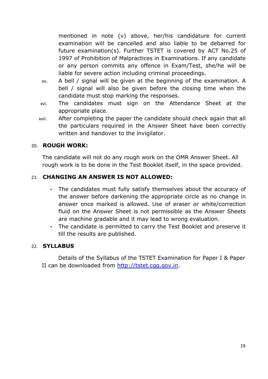mentioned in note (v) above, her/his candidature for current examination will be cancelled and also liable to be debarred for future examination(s). Further TSTET is covered by ACT No.25 of 1997 of Prohibition of Malpractices in Examinations. If any candidate or any person commits any offence in Exam/Test, she/he will be liable for severe action including criminal proceedings.

- xv. A bell / signal will be given at the beginning of the examination. A bell / signal will also be given before the closing time when the candidate must stop marking the responses.
- xvi. The candidates must sign on the Attendance Sheet at the appropriate place.
- xvii. After completing the paper the candidate should check again that all the particulars required in the Answer Sheet have been correctly written and handover to the invigilator.

### 20. **ROUGH WORK:**

The candidate will not do any rough work on the OMR Answer Sheet. All rough work is to be done in the Test Booklet itself, in the space provided.

## 21. **CHANGING AN ANSWER IS NOT ALLOWED:**

- The candidates must fully satisfy themselves about the accuracy of the answer before darkening the appropriate circle as no change in answer once marked is allowed. Use of eraser or white/correction fluid on the Answer Sheet is not permissible as the Answer Sheets are machine gradable and it may lead to wrong evaluation.
- The candidate is permitted to carry the Test Booklet and preserve it till the results are published.

#### 22. **SYLLABUS**

Details of the Syllabus of the TSTET Examination for Paper I & Paper II can be downloaded from http://tstet.cgg.gov.in.